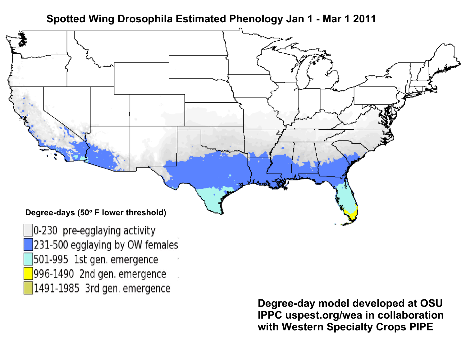**Spotted Wing Drosophila Estimated Phenology Jan 1 - Mar 1 2011**



1491-1985 3rd gen. emergence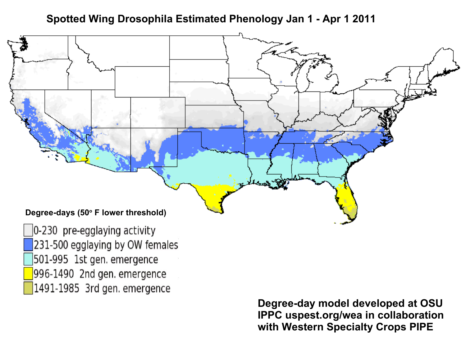# **Spotted Wing Drosophila Estimated Phenology Jan 1 - Apr 1 2011**



1491-1985 3rd gen. emergence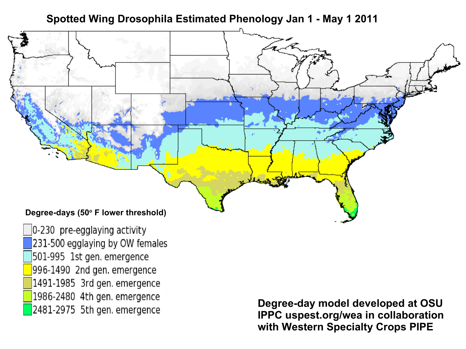# **Spotted Wing Drosophila Estimated Phenology Jan 1 - May 1 2011**



0-230 pre-egglaying activity 231-500 egglaying by OW females 501-995 1st gen. emergence 996-1490 2nd gen. emergence 1491-1985 3rd gen. emergence 1986-2480 4th gen. emergence 2481-2975 5th gen. emergence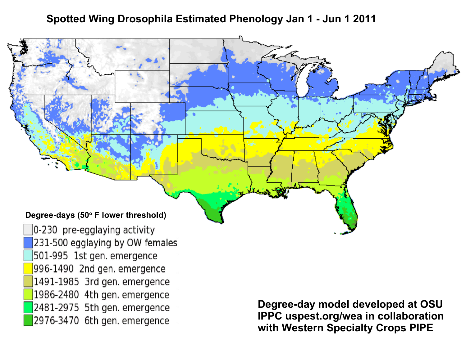# **Spotted Wing Drosophila Estimated Phenology Jan 1 - Jun 1 2011**



996-1490 2nd gen. emergence 1491-1985 3rd gen. emergence 1986-2480 4th gen. emergence 2481-2975 5th gen. emergence 2976-3470 6th gen. emergence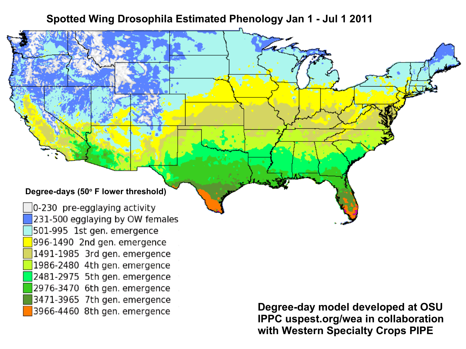## **Spotted Wing Drosophila Estimated Phenology Jan 1 - Jul 1 2011**

### **Degree-days (50<sup>o</sup> F lower threshold)**

0-230 pre-egglaying activity 231-500 egglaying by OW females 501-995 1st gen. emergence 996-1490 2nd gen. emergence 1491-1985 3rd gen. emergence 1986-2480 4th gen. emergence 2481-2975 5th gen. emergence 2976-3470 6th gen. emergence 3471-3965 7th gen. emergence 3966-4460 8th gen. emergence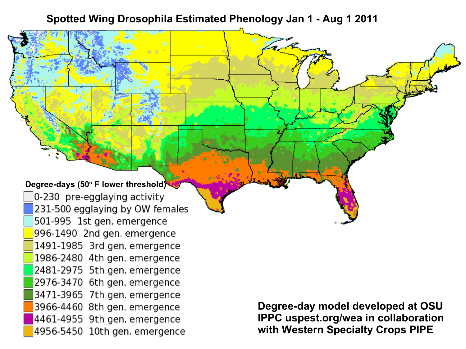### **Spotted Wing Drosophila Estimated Phenology Jan 1 - Aug 1 2011**

#### **Degree-days (50<sup>o</sup> F lower threshold)**

0-230 pre-egglaying activity 231-500 egglaying by OW females 501-995 1st gen. emergence 996-1490 2nd gen. emergence 1491-1985 3rd gen. emergence 1986-2480 4th gen. emergence 2481-2975 5th gen. emergence 2976-3470 6th gen. emergence 3471-3965 7th gen. emergence 3966-4460 8th gen. emergence 4461-4955 9th gen. emergence 4956-5450 10th gen. emergence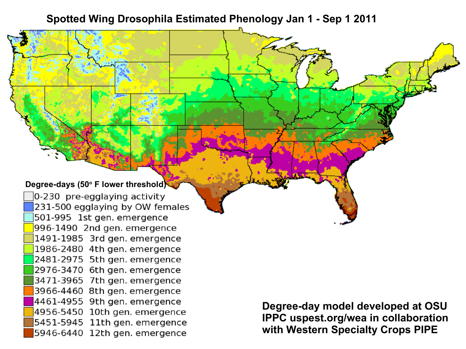## **Spotted Wing Drosophila Estimated Phenology Jan 1 - Sep 1 2011**

#### **Degree-days (50<sup>o</sup> F lower threshold)**

0-230 pre-egglaying activity 231-500 egglaying by OW females 501-995 1st gen. emergence 996-1490 2nd gen. emergence 1491-1985 3rd gen. emergence 1986-2480 4th gen. emergence 2481-2975 5th gen. emergence 2976-3470 6th gen. emergence 3471-3965 7th gen. emergence 3966-4460 8th gen. emergence 4461-4955 9th gen. emergence 4956-5450 10th gen. emergence 5451-5945 11th gen. emergence 5946-6440 12th gen. emergence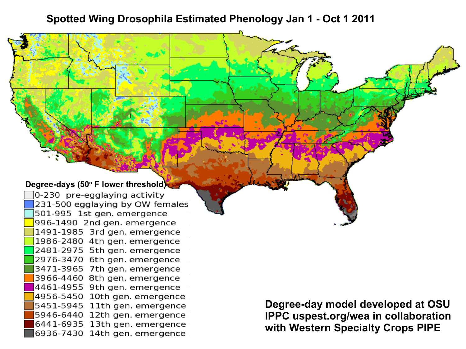### **Spotted Wing Drosophila Estimated Phenology Jan 1 - Oct 1 2011**

#### **Degree-days (50<sup>o</sup> F lower threshold)**

0-230 pre-egglaying activity 231-500 egglaying by OW females 501-995 1st gen. emergence 996-1490 2nd gen. emergence 1491-1985 3rd gen. emergence 1986-2480 4th gen. emergence 2481-2975 5th gen. emergence 2976-3470 6th gen. emergence 3471-3965 7th gen. emergence 3966-4460 8th gen. emergence 4461-4955 9th gen. emergence 4956-5450 10th gen. emergence 5451-5945 11th gen. emergence 5946-6440 12th gen. emergence 6441-6935 13th gen. emergence 6936-7430 14th gen. emergence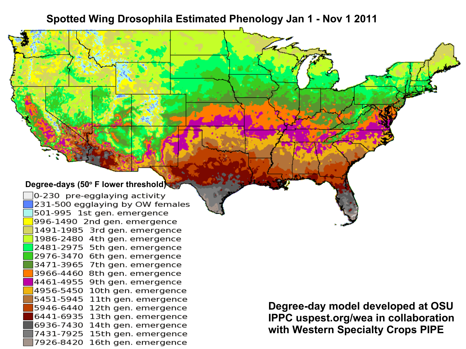# **Spotted Wing Drosophila Estimated Phenology Jan 1 - Nov 1 2011**

#### **Degree-days (50<sup>o</sup> F lower threshold)**

0-230 pre-egglaying activity 231-500 egglaying by OW females 501-995 1st gen. emergence 996-1490 2nd gen. emergence 1491-1985 3rd gen. emergence 1986-2480 4th gen. emergence 2481-2975 5th gen. emergence 2976-3470 6th gen. emergence 3471-3965 7th gen. emergence 3966-4460 8th gen. emergence 4461-4955 9th gen. emergence 4956-5450 10th gen. emergence 5451-5945 11th gen. emergence 5946-6440 12th gen. emergence 6441-6935 13th gen. emergence 6936-7430 14th gen. emergence 7431-7925 15th gen. emergence 7926-8420 16th gen. emergence